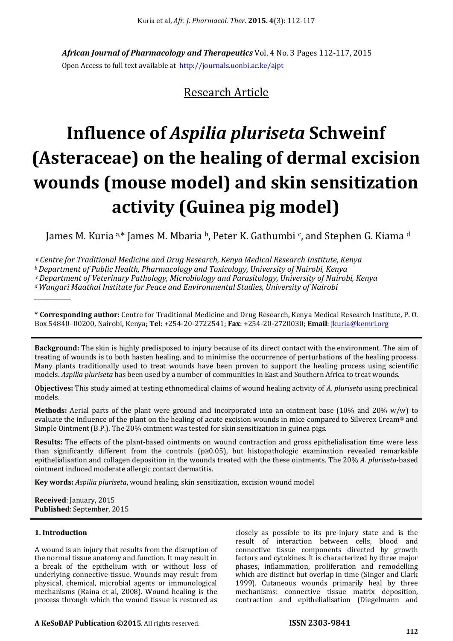*African Journal of Pharmacology and Therapeutics* Vol. 4 No. 3 Pages 112-117, 2015 Open Access to full text available at http://journals.uonbi.ac.ke/ajpt

# Research Article

# **Influence of** *Aspilia pluriseta* **Schweinf (Asteraceae) on the healing of dermal excision wounds (mouse model) and skin sensitization activity (Guinea pig model)**

James M. Kuria a,\* James M. Mbaria b, Peter K. Gathumbi <sup>c</sup>, and Stephen G. Kiama <sup>d</sup>

*<sup>a</sup>Centre for Traditional Medicine and Drug Research, Kenya Medical Research Institute, Kenya <sup>b</sup>Department of Public Health, Pharmacology and Toxicology, University of Nairobi, Kenya <sup>c</sup>Department of Veterinary Pathology, Microbiology and Parasitology, University of Nairobi, Kenya <sup>d</sup>Wangari Maathai Institute for Peace and Environmental Studies, University of Nairobi*

\* **Corresponding author:** Centre for Traditional Medicine and Drug Research, Kenya Medical Research Institute, P. O. Box 54840–00200, Nairobi, Kenya; **Tel**: +254-20-2722541; **Fax**: +254-20-2720030; **Email**: jkuria@kemri.org

**Background:** The skin is highly predisposed to injury because of its direct contact with the environment. The aim of treating of wounds is to both hasten healing, and to minimise the occurrence of perturbations of the healing process. Many plants traditionally used to treat wounds have been proven to support the healing process using scientific models. *Aspilia pluriseta* has been used by a number of communities in East and Southern Africa to treat wounds.

**Objectives:** This study aimed at testing ethnomedical claims of wound healing activity of *A. pluriseta* using preclinical models.

**Methods:** Aerial parts of the plant were ground and incorporated into an ointment base (10% and 20% w/w) to evaluate the influence of the plant on the healing of acute excision wounds in mice compared to Silverex Cream® and Simple Ointment (B.P.). The 20% ointment was tested for skin sensitization in guinea pigs.

**Results:** The effects of the plant-based ointments on wound contraction and gross epithelialisation time were less than significantly different from the controls ( $p\geq 0.05$ ), but histopathologic examination revealed remarkable epithelialisation and collagen deposition in the wounds treated with the these ointments. The 20% *A. pluriseta*-based ointment induced moderate allergic contact dermatitis.

**Key words:** *Aspilia pluriseta*, wound healing, skin sensitization, excision wound model

**Received**: January, 2015 **Published**: September, 2015

# **1. Introduction**

*\_\_\_\_\_\_\_\_\_\_\_\_\_* 

A wound is an injury that results from the disruption of the normal tissue anatomy and function. It may result in a break of the epithelium with or without loss of underlying connective tissue. Wounds may result from physical, chemical, microbial agents or immunological mechanisms (Raina et al, 2008). Wound healing is the process through which the wound tissue is restored as

closely as possible to its pre-injury state and is the result of interaction between cells, blood and connective tissue components directed by growth factors and cytokines. It is characterized by three major phases, inflammation, proliferation and remodelling which are distinct but overlap in time (Singer and Clark 1999). Cutaneous wounds primarily heal by three mechanisms: connective tissue matrix deposition, contraction and epithelialisation (Diegelmann and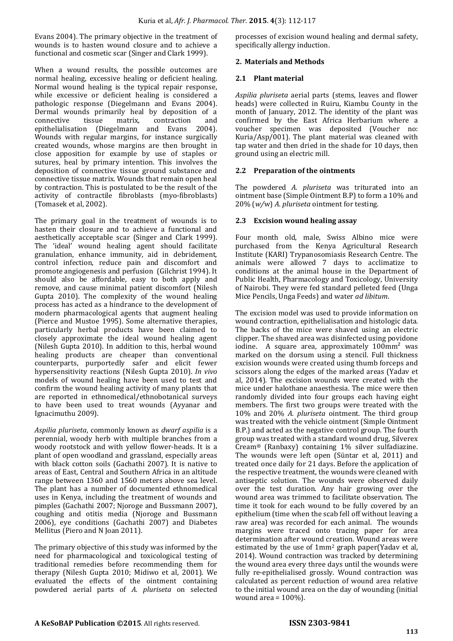Evans 2004). The primary objective in the treatment of wounds is to hasten wound closure and to achieve a functional and cosmetic scar (Singer and Clark 1999).

When a wound results, the possible outcomes are normal healing, excessive healing or deficient healing. Normal wound healing is the typical repair response, while excessive or deficient healing is considered a pathologic response (Diegelmann and Evans 2004). Dermal wounds primarily heal by deposition of a connective tissue matrix, contraction and epithelialisation (Diegelmann and Evans 2004). Wounds with regular margins, for instance surgically created wounds, whose margins are then brought in close apposition for example by use of staples or sutures, heal by primary intention. This involves the deposition of connective tissue ground substance and connective tissue matrix. Wounds that remain open heal by contraction. This is postulated to be the result of the activity of contractile fibroblasts (myo-fibroblasts) (Tomasek et al, 2002).

The primary goal in the treatment of wounds is to hasten their closure and to achieve a functional and aesthetically acceptable scar (Singer and Clark 1999). The 'ideal' wound healing agent should facilitate granulation, enhance immunity, aid in debridement, control infection, reduce pain and discomfort and promote angiogenesis and perfusion (Gilchrist 1994). It should also be affordable, easy to both apply and remove, and cause minimal patient discomfort (Nilesh Gupta 2010). The complexity of the wound healing process has acted as a hindrance to the development of modern pharmacological agents that augment healing (Pierce and Mustoe 1995). Some alternative therapies, particularly herbal products have been claimed to closely approximate the ideal wound healing agent (Nilesh Gupta 2010). In addition to this, herbal wound healing products are cheaper than conventional counterparts, purportedly safer and elicit fewer hypersensitivity reactions (Nilesh Gupta 2010). *In vivo* models of wound healing have been used to test and confirm the wound healing activity of many plants that are reported in ethnomedical/ethnobotanical surveys to have been used to treat wounds (Ayyanar and Ignacimuthu 2009).

*Aspilia pluriseta*, commonly known as *dwarf aspilia* is a perennial, woody herb with multiple branches from a woody rootstock and with yellow flower-heads. It is a plant of open woodland and grassland, especially areas with black cotton soils (Gachathi 2007). It is native to areas of East, Central and Southern Africa in an altitude range between 1360 and 1560 meters above sea level. The plant has a number of documented ethnomedical uses in Kenya, including the treatment of wounds and pimples (Gachathi 2007; Njoroge and Bussmann 2007), coughing and otitis media (Njoroge and Bussmann 2006), eye conditions (Gachathi 2007) and Diabetes Mellitus (Piero and N Joan 2011).

The primary objective of this study was informed by the need for pharmacological and toxicological testing of traditional remedies before recommending them for therapy (Nilesh Gupta 2010; Midiwo et al, 2001). We evaluated the effects of the ointment containing powdered aerial parts of *A. pluriseta* on selected processes of excision wound healing and dermal safety, specifically allergy induction.

# **2. Materials and Methods**

# **2.1 Plant material**

*Aspilia pluriseta* aerial parts (stems, leaves and flower heads) were collected in Ruiru, Kiambu County in the month of January, 2012. The identity of the plant was confirmed by the East Africa Herbarium where a voucher specimen was deposited (Voucher no: Kuria/Asp/001). The plant material was cleaned with tap water and then dried in the shade for 10 days, then ground using an electric mill.

# **2.2 Preparation of the ointments**

The powdered *A. pluriseta* was triturated into an ointment base (Simple Ointment B.P) to form a 10% and 20% (*w/*w) *A. pluriseta* ointment for testing.

# **2.3 Excision wound healing assay**

Four month old, male, Swiss Albino mice were purchased from the Kenya Agricultural Research Institute (KARI) Trypanosomiasis Research Centre. The animals were allowed 7 days to acclimatize to conditions at the animal house in the Department of Public Health, Pharmacology and Toxicology, University of Nairobi. They were fed standard pelleted feed (Unga Mice Pencils, Unga Feeds) and water *ad libitum*.

The excision model was used to provide information on wound contraction, epithelialisation and histologic data. The backs of the mice were shaved using an electric clipper. The shaved area was disinfected using povidone iodine. A square area, approximately  $100$ mm<sup>2</sup> was marked on the dorsum using a stencil. Full thickness excision wounds were created using thumb forceps and scissors along the edges of the marked areas (Yadav et al, 2014). The excision wounds were created with the mice under halothane anaesthesia. The mice were then randomly divided into four groups each having eight members. The first two groups were treated with the 10% and 20% *A. pluriseta* ointment. The third group was treated with the vehicle ointment (Simple Ointment B.P.) and acted as the negative control group. The fourth group was treated with a standard wound drug, Silverex Cream® (Ranbaxy) containing 1% silver sulfadiazine. The wounds were left open (Süntar et al, 2011) and treated once daily for 21 days. Before the application of the respective treatment, the wounds were cleaned with antiseptic solution. The wounds were observed daily over the test duration. Any hair growing over the wound area was trimmed to facilitate observation. The time it took for each wound to be fully covered by an epithelium (time when the scab fell off without leaving a raw area) was recorded for each animal. The wounds margins were traced onto tracing paper for area determination after wound creation. Wound areas were estimated by the use of 1mm2 graph paper(Yadav et al, 2014). Wound contraction was tracked by determining the wound area every three days until the wounds were fully re-epithelialised grossly. Wound contraction was calculated as percent reduction of wound area relative to the initial wound area on the day of wounding (initial wound area = 100%).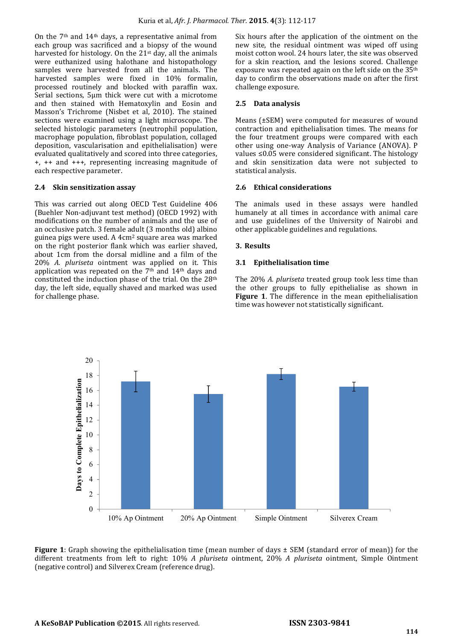On the 7th and 14th days, a representative animal from each group was sacrificed and a biopsy of the wound harvested for histology. On the  $21<sup>st</sup>$  day, all the animals were euthanized using halothane and histopathology samples were harvested from all the animals. The harvested samples were fixed in 10% formalin, processed routinely and blocked with paraffin wax. Serial sections, 5µm thick were cut with a microtome and then stained with Hematoxylin and Eosin and Masson's Trichrome (Nisbet et al, 2010). The stained sections were examined using a light microscope. The selected histologic parameters (neutrophil population, macrophage population, fibroblast population, collaged deposition, vascularisation and epithelialisation) were evaluated qualitatively and scored into three categories, +, ++ and +++, representing increasing magnitude of each respective parameter.

# **2.4 Skin sensitization assay**

This was carried out along OECD Test Guideline 406 (Buehler Non-adjuvant test method) (OECD 1992) with modifications on the number of animals and the use of an occlusive patch. 3 female adult (3 months old) albino guinea pigs were used. A 4cm2 square area was marked on the right posterior flank which was earlier shaved, about 1cm from the dorsal midline and a film of the 20% *A. pluriseta* ointment was applied on it. This application was repeated on the  $7<sup>th</sup>$  and  $14<sup>th</sup>$  days and constituted the induction phase of the trial. On the  $28<sup>th</sup>$ day, the left side, equally shaved and marked was used for challenge phase.

Six hours after the application of the ointment on the new site, the residual ointment was wiped off using moist cotton wool. 24 hours later, the site was observed for a skin reaction, and the lesions scored. Challenge exposure was repeated again on the left side on the 35<sup>th</sup> day to confirm the observations made on after the first challenge exposure.

#### **2.5 Data analysis**

Means (±SEM) were computed for measures of wound contraction and epithelialisation times. The means for the four treatment groups were compared with each other using one-way Analysis of Variance (ANOVA). P values ≤0.05 were considered significant. The histology and skin sensitization data were not subjected to statistical analysis.

#### **2.6 Ethical considerations**

The animals used in these assays were handled humanely at all times in accordance with animal care and use guidelines of the University of Nairobi and other applicable guidelines and regulations.

#### **3. Results**

#### **3.1 Epithelialisation time**

The 20% *A. pluriseta* treated group took less time than the other groups to fully epithelialise as shown in **Figure 1**. The difference in the mean epithelialisation time was however not statistically significant.



**Figure 1**: Graph showing the epithelialisation time (mean number of days  $\pm$  SEM (standard error of mean)) for the different treatments from left to right: 10% *A pluriseta* ointment, 20% *A pluriseta* ointment, Simple Ointment (negative control) and Silverex Cream (reference drug).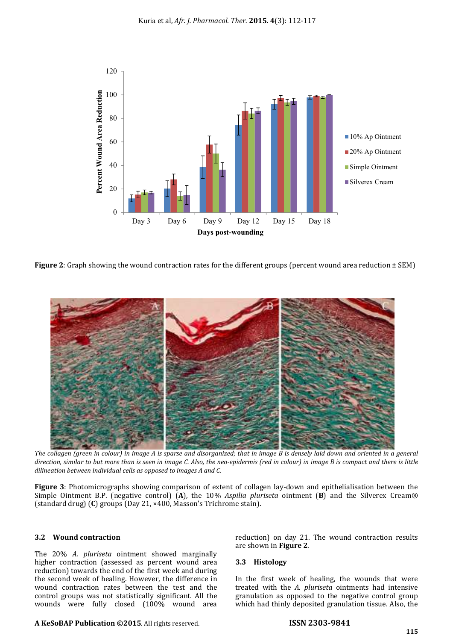

**Figure 2**: Graph showing the wound contraction rates for the different groups (percent wound area reduction ± SEM)



*The collagen (green in colour) in image A is sparse and disorganized; that in image B is densely laid down and oriented in a general direction, similar to but more than is seen in image C. Also, the neo-epidermis (red in colour) in image B is compact and there is little dilineation between individual cells as opposed to images A and C.*

**Figure 3**: Photomicrographs showing comparison of extent of collagen lay-down and epithelialisation between the Simple Ointment B.P. (negative control) (**A**), the 10% *Aspilia pluriseta* ointment (**B**) and the Silverex Cream® (standard drug) (**C**) groups (Day 21, ×400, Masson's Trichrome stain).

# **3.2 Wound contraction**

The 20% *A. pluriseta* ointment showed marginally higher contraction (assessed as percent wound area reduction) towards the end of the first week and during the second week of healing. However, the difference in wound contraction rates between the test and the control groups was not statistically significant. All the wounds were fully closed (100% wound area

are shown in **Figure 2**.

reduction) on day 21. The wound contraction results

# **3.3 Histology**

In the first week of healing, the wounds that were treated with the *A. pluriseta* ointments had intensive granulation as opposed to the negative control group which had thinly deposited granulation tissue. Also, the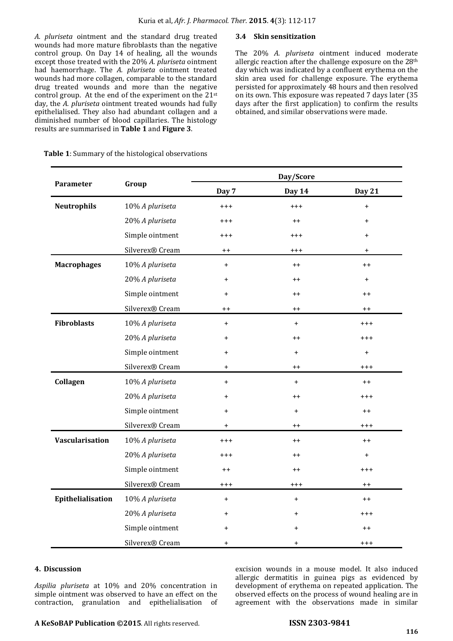*A. pluriseta* ointment and the standard drug treated wounds had more mature fibroblasts than the negative control group. On Day 14 of healing, all the wounds except those treated with the 20% *A. pluriseta* ointment had haemorrhage. The *A. pluriseta* ointment treated wounds had more collagen, comparable to the standard drug treated wounds and more than the negative control group. At the end of the experiment on the 21st day, the *A. pluriseta* ointment treated wounds had fully epithelialised. They also had abundant collagen and a diminished number of blood capillaries. The histology results are summarised in **Table 1** and **Figure 3**.

### **3.4 Skin sensitization**

The 20% *A. pluriseta* ointment induced moderate allergic reaction after the challenge exposure on the 28<sup>th</sup> day which was indicated by a confluent erythema on the skin area used for challenge exposure. The erythema persisted for approximately 48 hours and then resolved on its own. This exposure was repeated 7 days later (35 days after the first application) to confirm the results obtained, and similar observations were made.

 **Table 1**: Summary of the histological observations

| Parameter          | Group           | Day/Score  |                 |           |
|--------------------|-----------------|------------|-----------------|-----------|
|                    |                 | Day 7      | Day 14          | Day 21    |
| <b>Neutrophils</b> | 10% A pluriseta | $^{+++}$   | $^{+++}$        | $\ddot{}$ |
|                    | 20% A pluriseta | $^{+++}$   | $++$            | $\ddot{}$ |
|                    | Simple ointment | $^{+ + +}$ | $^{+++}$        | $\ddot{}$ |
|                    | Silverex® Cream | $++$       | $^{+++}$        | $\ddot{}$ |
| <b>Macrophages</b> | 10% A pluriseta | $\ddot{}$  | $++$            | $++$      |
|                    | 20% A pluriseta | $\ddot{}$  | $+ +$           | $+$       |
|                    | Simple ointment | $\ddot{}$  | $^{\mathrm{+}}$ | $^{++}$   |
|                    | Silverex® Cream | $++$       | $^{++}$         | $++$      |
| <b>Fibroblasts</b> | 10% A pluriseta | $\ddot{}$  | $\ddot{}$       | $^{+++}$  |
|                    | 20% A pluriseta | $\ddot{}$  | $++$            | $^{+++}$  |
|                    | Simple ointment | $\ddot{}$  | $\ddot{}$       | $\ddot{}$ |
|                    | Silverex® Cream | $\ddot{}$  | $++$            | $^{+++}$  |
| Collagen           | 10% A pluriseta | $\ddot{}$  | $\ddot{}$       | $++$      |
|                    | 20% A pluriseta | $\ddot{}$  | $++$            | $^{+++}$  |
|                    | Simple ointment | $\ddot{}$  | $\ddot{}$       | $++$      |
|                    | Silverex® Cream | $\ddot{}$  | $++$            | $^{+++}$  |
| Vascularisation    | 10% A pluriseta | $^{+++}$   | $^{++}$         | $++$      |
|                    | 20% A pluriseta | $^{+++}$   | $++$            | $\ddot{}$ |
|                    | Simple ointment | $++$       | $+ +$           | $^{+++}$  |
|                    | Silverex® Cream | $^{+++}$   | $^{+++}$        | $++$      |
| Epithelialisation  | 10% A pluriseta | $\ddot{}$  | $\ddot{}$       | $++$      |
|                    | 20% A pluriseta | $\ddot{}$  | $\ddot{}$       | $^{+++}$  |
|                    | Simple ointment | $\ddot{}$  | $\pmb{+}$       | $++$      |
|                    | Silverex® Cream | $\ddot{}$  | $\ddot{}$       | $^{+++}$  |

#### **4. Discussion**

*Aspilia pluriseta* at 10% and 20% concentration in simple ointment was observed to have an effect on the contraction, granulation and epithelialisation of excision wounds in a mouse model. It also induced allergic dermatitis in guinea pigs as evidenced by development of erythema on repeated application. The observed effects on the process of wound healing are in agreement with the observations made in similar